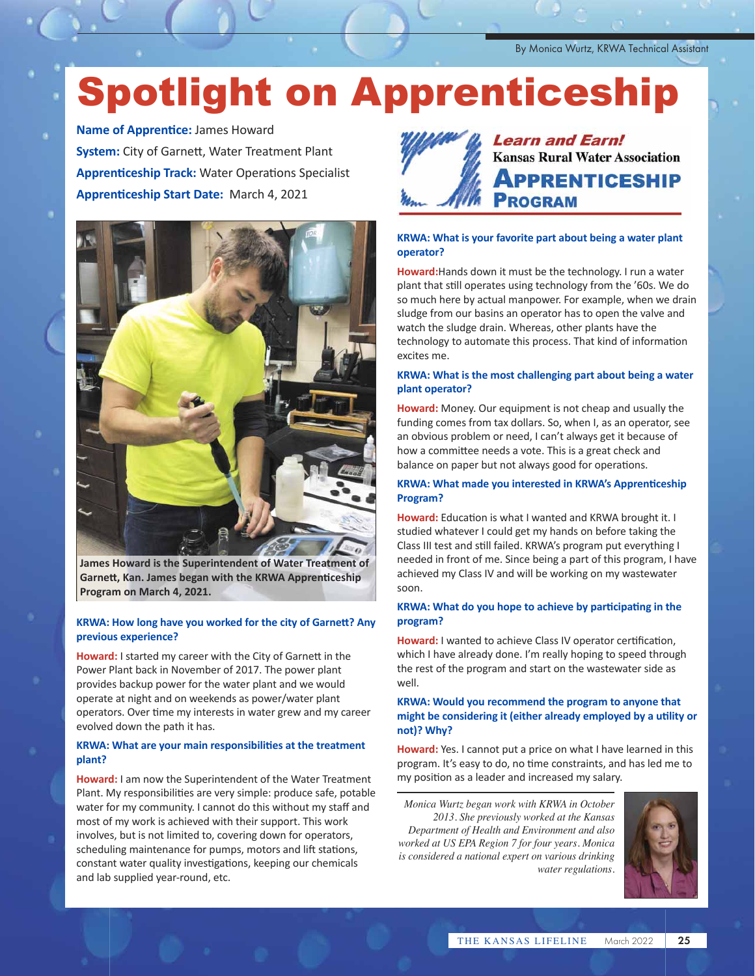By Monica Wurtz, KRWA Technical Assistant

# Spotlight on Apprenticeship

**Name of Apprentice:** James Howard **System:** City of Garnett, Water Treatment Plant **Apprenticeship Track:** Water Operations Specialist **Apprenticeship Start Date:** March 4, 2021



**James Howard is the Superintendent of Water Treatment of Garnett, Kan. James began with the KRWA Apprenticeship Program on March 4, 2021.**

#### **KRWA: How long have you worked for the city of Garnett? Any previous experience?**

**Howard:** I started my career with the City of Garnett in the Power Plant back in November of 2017. The power plant provides backup power for the water plant and we would operate at night and on weekends as power/water plant operators. Over time my interests in water grew and my career evolved down the path it has.

#### **KRWA: What are your main responsibilities at the treatment plant?**

**Howard:** I am now the Superintendent of the Water Treatment Plant. My responsibilities are very simple: produce safe, potable water for my community. I cannot do this without my staff and most of my work is achieved with their support. This work involves, but is not limited to, covering down for operators, scheduling maintenance for pumps, motors and lift stations, constant water quality investigations, keeping our chemicals and lab supplied year-round, etc.



**Learn and Earn! Kansas Rural Water Association PPRENTICESHIP ROGRAM** 

#### **KRWA: What is your favorite part about being a water plant operator?**

**Howard:**Hands down it must be the technology. I run a water plant that still operates using technology from the '60s. We do so much here by actual manpower. For example, when we drain sludge from our basins an operator has to open the valve and watch the sludge drain. Whereas, other plants have the technology to automate this process. That kind of information excites me.

#### **KRWA: What is the most challenging part about being a water plant operator?**

**Howard:** Money. Our equipment is not cheap and usually the funding comes from tax dollars. So, when I, as an operator, see an obvious problem or need, I can't always get it because of how a committee needs a vote. This is a great check and balance on paper but not always good for operations.

#### **KRWA: What made you interested in KRWA's Apprenticeship Program?**

**Howard:** Education is what I wanted and KRWA brought it. I studied whatever I could get my hands on before taking the Class III test and still failed. KRWA's program put everything I needed in front of me. Since being a part of this program, I have achieved my Class IV and will be working on my wastewater soon.

#### **KRWA: What do you hope to achieve by participating in the program?**

**Howard:** I wanted to achieve Class IV operator certification, which I have already done. I'm really hoping to speed through the rest of the program and start on the wastewater side as well.

#### **KRWA: Would you recommend the program to anyone that might be considering it (either already employed by a utility or not)? Why?**

**Howard:** Yes. I cannot put a price on what I have learned in this program. It's easy to do, no time constraints, and has led me to my position as a leader and increased my salary.

*Monica Wurtz began work with KRWA in October 2013. She previously worked at the Kansas Department of Health and Environment and also worked at US EPA Region 7 for four years. Monica is considered a national expert on various drinking water regulations.* 

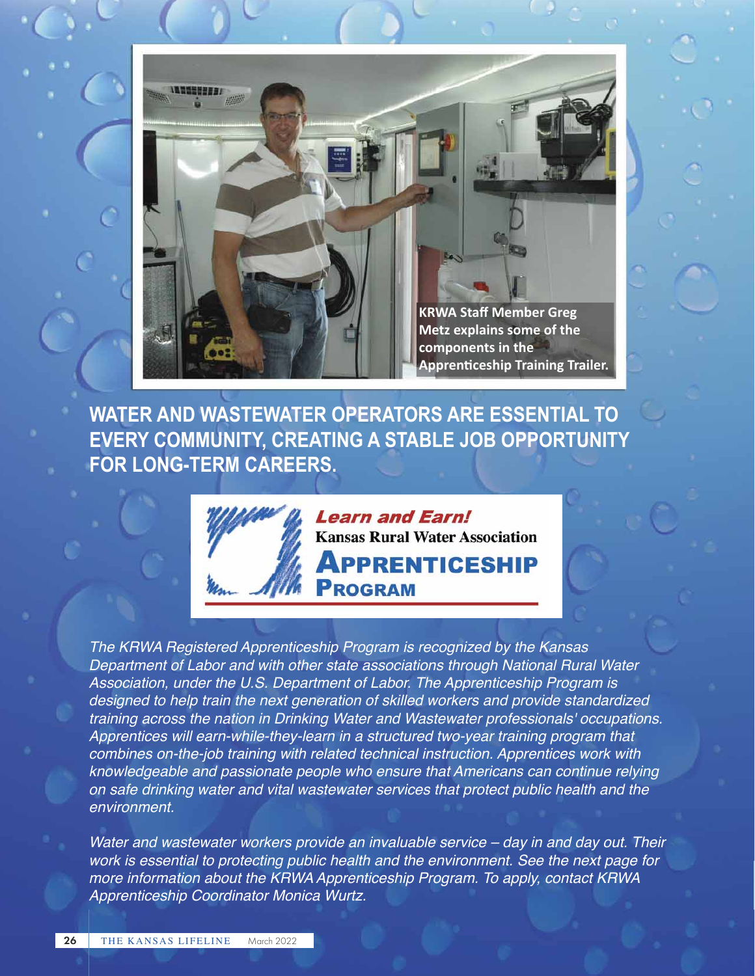

**WATER AND WASTEWATER OPERATORS ARE ESSENTIAL TO EVERY COMMUNITY, CREATING A STABLE JOB OPPORTUNITY FOR LONG-TERM CAREERS.** 



*The KRWA Registered Apprenticeship Program is recognized by the Kansas Department of Labor and with other state associations through National Rural Water Association, under the U.S. Department of Labor. The Apprenticeship Program is designed to help train the next generation of skilled workers and provide standardized training across the nation in Drinking Water and Wastewater professionals' occupations. Apprentices will earn-while-they-learn in a structured two-year training program that combines on-the-job training with related technical instruction. Apprentices work with knowledgeable and passionate people who ensure that Americans can continue relying on safe drinking water and vital wastewater services that protect public health and the environment.* 

*Water and wastewater workers provide an invaluable service – day in and day out. Their work is essential to protecting public health and the environment. See the next page for more information about the KRWA Apprenticeship Program. To apply, contact KRWA Apprenticeship Coordinator Monica Wurtz.*